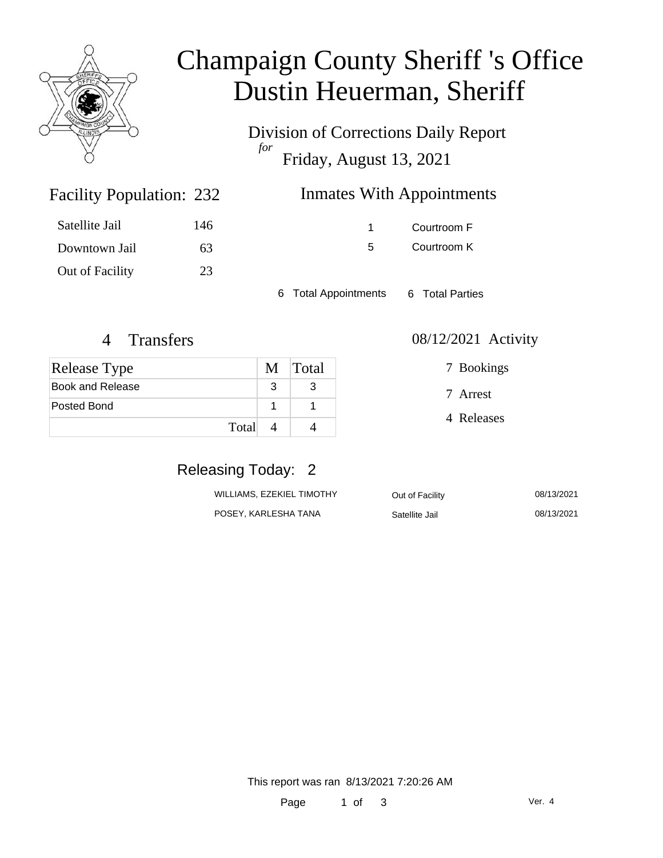

# Champaign County Sheriff 's Office Dustin Heuerman, Sheriff

Division of Corrections Daily Report *for* Friday, August 13, 2021

| 232 | <b>Inmates With Appointments</b> |
|-----|----------------------------------|
|-----|----------------------------------|

| Satellite Jail  | 146 |
|-----------------|-----|
| Downtown Jail   | 63. |
| Out of Facility | 23  |

Facility Population: 232

1 Courtroom F 5 Courtroom K

6 Total Appointments 6 Total Parties

| <b>Release Type</b> |  | M Total |
|---------------------|--|---------|
| Book and Release    |  |         |
| Posted Bond         |  |         |
| Total               |  |         |

4 Transfers 08/12/2021 Activity

7 Bookings

7 Arrest

4 Releases

## Releasing Today: 2

| WILLIAMS, EZEKIEL TIMOTHY | Out of Facility | 08/13/2021 |
|---------------------------|-----------------|------------|
| POSEY, KARLESHA TANA      | Satellite Jail  | 08/13/2021 |

This report was ran 8/13/2021 7:20:26 AM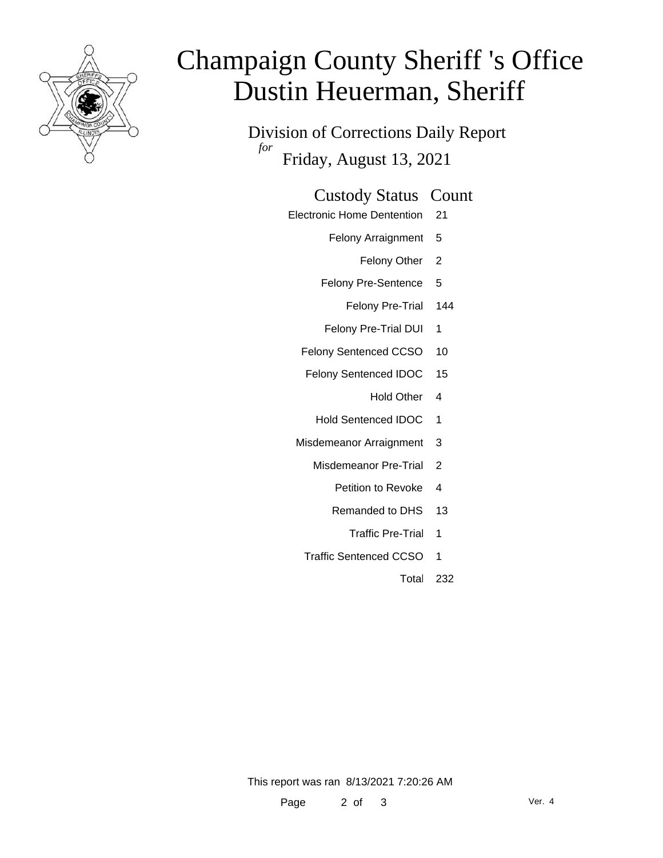

# Champaign County Sheriff 's Office Dustin Heuerman, Sheriff

Division of Corrections Daily Report *for* Friday, August 13, 2021

### Custody Status Count

- Electronic Home Dentention 21
	- Felony Arraignment 5
		- Felony Other 2
	- Felony Pre-Sentence 5
		- Felony Pre-Trial 144
	- Felony Pre-Trial DUI 1
	- Felony Sentenced CCSO 10
	- Felony Sentenced IDOC 15
		- Hold Other 4
		- Hold Sentenced IDOC 1
	- Misdemeanor Arraignment 3
		- Misdemeanor Pre-Trial 2
			- Petition to Revoke 4
			- Remanded to DHS 13
				- Traffic Pre-Trial 1
		- Traffic Sentenced CCSO 1
			- Total 232

This report was ran 8/13/2021 7:20:26 AM